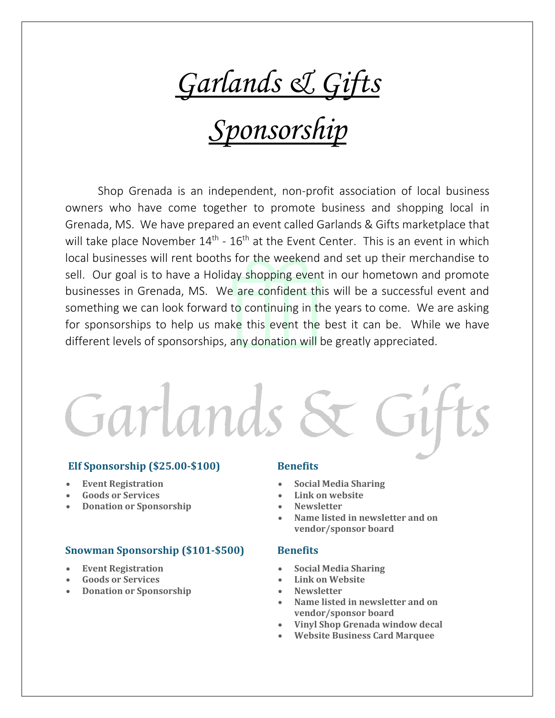*Garlands & Gifts*

# *Sponsorship*

Shop Grenada is an independent, non-profit association of local business owners who have come together to promote business and shopping local in Grenada, MS. We have prepared an event called Garlands & Gifts marketplace that will take place November 14<sup>th</sup> - 16<sup>th</sup> at the Event Center. This is an event in which local businesses will rent booths for the weekend and set up their merchandise to sell. Our goal is to have a Holiday shopping event in our hometown and promote businesses in Grenada, MS. We are confident this will be a successful event and something we can look forward to continuing in the years to come. We are asking for sponsorships to help us make this event the best it can be. While we have different levels of sponsorships, any donation will be greatly appreciated.

Garlands &

# **Elf Sponsorship (\$25.00-\$100)**

- **Event Registration**
- **Goods or Services**
- **Donation or Sponsorship**

## **Snowman Sponsorship (\$101-\$500)**

- **Event Registration**
- **Goods or Services**
- **Donation or Sponsorship**

### **Benefits**

- **Social Media Sharing**
- **Link on website**
- **Newsletter**
- **Name listed in newsletter and on vendor/sponsor board**

### **Benefits**

- **Social Media Sharing**
- **Link on Website**
- **Newsletter**
- **Name listed in newsletter and on vendor/sponsor board**
- **Vinyl Shop Grenada window decal**
- **Website Business Card Marquee**